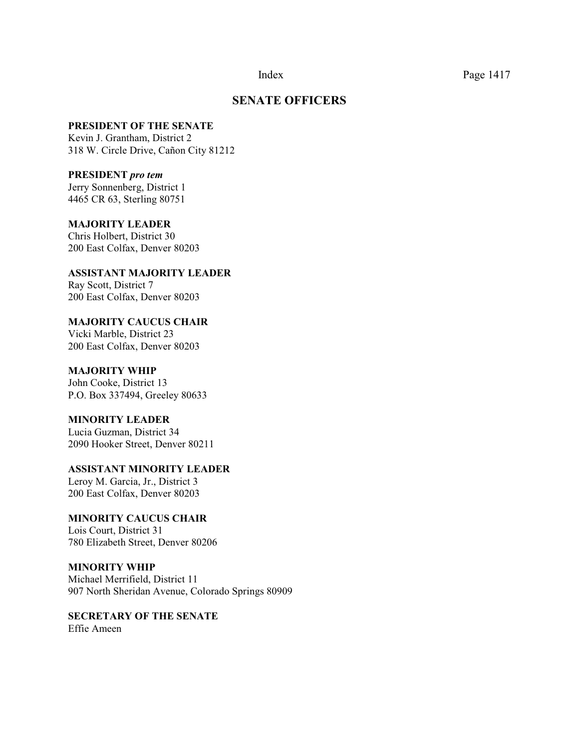### **SENATE OFFICERS**

#### **PRESIDENT OF THE SENATE**

Kevin J. Grantham, District 2 318 W. Circle Drive, Cañon City 81212

**PRESIDENT** *pro tem*

Jerry Sonnenberg, District 1 4465 CR 63, Sterling 80751

**MAJORITY LEADER**  Chris Holbert, District 30 200 East Colfax, Denver 80203

**ASSISTANT MAJORITY LEADER** Ray Scott, District 7 200 East Colfax, Denver 80203

**MAJORITY CAUCUS CHAIR**  Vicki Marble, District 23 200 East Colfax, Denver 80203

#### **MAJORITY WHIP**

John Cooke, District 13 P.O. Box 337494, Greeley 80633

#### **MINORITY LEADER**

Lucia Guzman, District 34 2090 Hooker Street, Denver 80211

**ASSISTANT MINORITY LEADER**

Leroy M. Garcia, Jr., District 3 200 East Colfax, Denver 80203

### **MINORITY CAUCUS CHAIR**

Lois Court, District 31 780 Elizabeth Street, Denver 80206

**MINORITY WHIP** Michael Merrifield, District 11 907 North Sheridan Avenue, Colorado Springs 80909

**SECRETARY OF THE SENATE** Effie Ameen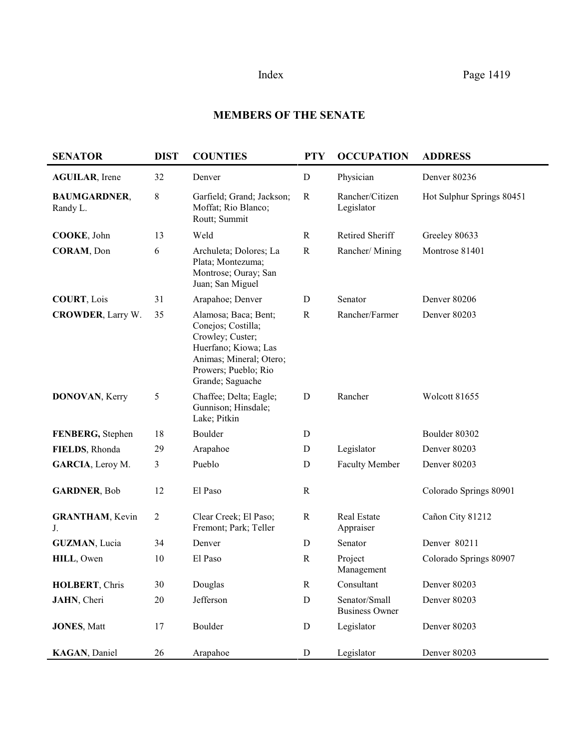# **MEMBERS OF THE SENATE**

| <b>SENATOR</b>                  | <b>DIST</b>    | <b>COUNTIES</b>                                                                                                                                               | <b>PTY</b>  | <b>OCCUPATION</b>                      | <b>ADDRESS</b>            |
|---------------------------------|----------------|---------------------------------------------------------------------------------------------------------------------------------------------------------------|-------------|----------------------------------------|---------------------------|
| <b>AGUILAR</b> , Irene          | 32             | Denver                                                                                                                                                        | $\mathbf D$ | Physician                              | Denver 80236              |
| <b>BAUMGARDNER,</b><br>Randy L. | 8              | Garfield; Grand; Jackson;<br>Moffat; Rio Blanco;<br>Routt; Summit                                                                                             | $\mathbf R$ | Rancher/Citizen<br>Legislator          | Hot Sulphur Springs 80451 |
| COOKE, John                     | 13             | Weld                                                                                                                                                          | $\mathbf R$ | Retired Sheriff                        | Greeley 80633             |
| CORAM, Don                      | 6              | Archuleta; Dolores; La<br>Plata; Montezuma;<br>Montrose; Ouray; San<br>Juan; San Miguel                                                                       | $\mathbf R$ | Rancher/Mining                         | Montrose 81401            |
| <b>COURT, Lois</b>              | 31             | Arapahoe; Denver                                                                                                                                              | $\mathbf D$ | Senator                                | <b>Denver 80206</b>       |
| <b>CROWDER, Larry W.</b>        | 35             | Alamosa; Baca; Bent;<br>Conejos; Costilla;<br>Crowley; Custer;<br>Huerfano; Kiowa; Las<br>Animas; Mineral; Otero;<br>Prowers; Pueblo; Rio<br>Grande; Saguache | $\mathbf R$ | Rancher/Farmer                         | Denver 80203              |
| <b>DONOVAN, Kerry</b>           | 5              | Chaffee; Delta; Eagle;<br>Gunnison; Hinsdale;<br>Lake; Pitkin                                                                                                 | D           | Rancher                                | Wolcott 81655             |
| FENBERG, Stephen                | 18             | Boulder                                                                                                                                                       | D           |                                        | Boulder 80302             |
| FIELDS, Rhonda                  | 29             | Arapahoe                                                                                                                                                      | D           | Legislator                             | Denver 80203              |
| GARCIA, Leroy M.                | 3              | Pueblo                                                                                                                                                        | D           | <b>Faculty Member</b>                  | Denver 80203              |
| <b>GARDNER, Bob</b>             | 12             | El Paso                                                                                                                                                       | $\mathbf R$ |                                        | Colorado Springs 80901    |
| <b>GRANTHAM</b> , Kevin<br>J.   | $\overline{c}$ | Clear Creek; El Paso;<br>Fremont; Park; Teller                                                                                                                | $\mathbf R$ | Real Estate<br>Appraiser               | Cañon City 81212          |
| <b>GUZMAN, Lucia</b>            | 34             | Denver                                                                                                                                                        | D           | Senator                                | Denver 80211              |
| HILL, Owen                      | 10             | El Paso                                                                                                                                                       | $\mathbf R$ | Project<br>Management                  | Colorado Springs 80907    |
| HOLBERT, Chris                  | 30             | Douglas                                                                                                                                                       | $\mathbf R$ | Consultant                             | Denver 80203              |
| JAHN, Cheri                     | 20             | Jefferson                                                                                                                                                     | ${\bf D}$   | Senator/Small<br><b>Business Owner</b> | Denver 80203              |
| <b>JONES, Matt</b>              | 17             | Boulder                                                                                                                                                       | ${\bf D}$   | Legislator                             | Denver 80203              |
| KAGAN, Daniel                   | 26             | Arapahoe                                                                                                                                                      | ${\bf D}$   | Legislator                             | Denver 80203              |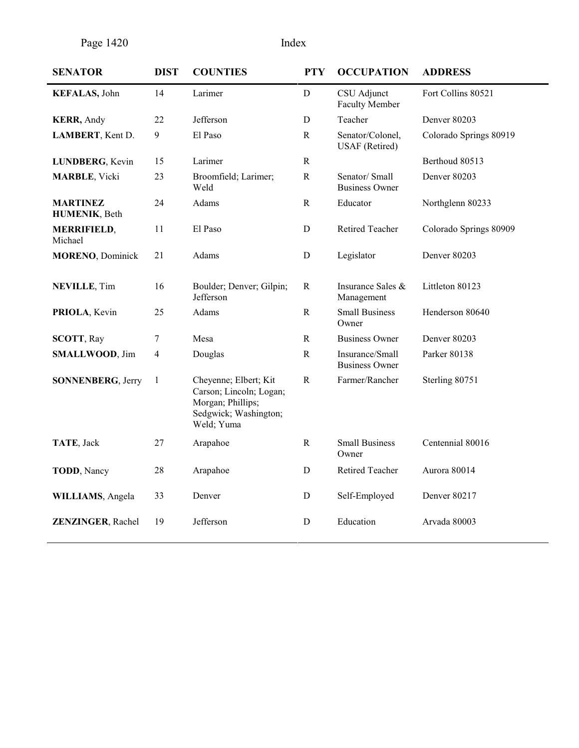Page 1420 Index

| <b>SENATOR</b>                   | <b>DIST</b> | <b>COUNTIES</b>                                                                                              | <b>PTY</b>   | <b>OCCUPATION</b>                         | <b>ADDRESS</b>         |
|----------------------------------|-------------|--------------------------------------------------------------------------------------------------------------|--------------|-------------------------------------------|------------------------|
| <b>KEFALAS</b> , John            | 14          | Larimer                                                                                                      | D            | CSU Adjunct<br><b>Faculty Member</b>      | Fort Collins 80521     |
| <b>KERR</b> , Andy               | 22          | Jefferson                                                                                                    | D            | Teacher                                   | Denver 80203           |
| LAMBERT, Kent D.                 | 9           | El Paso                                                                                                      | $\mathbf R$  | Senator/Colonel,<br><b>USAF</b> (Retired) | Colorado Springs 80919 |
| LUNDBERG, Kevin                  | 15          | Larimer                                                                                                      | $\mathbf R$  |                                           | Berthoud 80513         |
| <b>MARBLE</b> , Vicki            | 23          | Broomfield; Larimer;<br>Weld                                                                                 | ${\bf R}$    | Senator/Small<br><b>Business Owner</b>    | Denver 80203           |
| <b>MARTINEZ</b><br>HUMENIK, Beth | 24          | Adams                                                                                                        | $\mathbf R$  | Educator                                  | Northglenn 80233       |
| <b>MERRIFIELD,</b><br>Michael    | 11          | El Paso                                                                                                      | D            | Retired Teacher                           | Colorado Springs 80909 |
| <b>MORENO, Dominick</b>          | 21          | Adams                                                                                                        | $\mathbf D$  | Legislator                                | Denver 80203           |
| <b>NEVILLE, Tim</b>              | 16          | Boulder; Denver; Gilpin;<br>Jefferson                                                                        | $\mathbf R$  | Insurance Sales &<br>Management           | Littleton 80123        |
| PRIOLA, Kevin                    | 25          | Adams                                                                                                        | $\mathbf R$  | <b>Small Business</b><br>Owner            | Henderson 80640        |
| <b>SCOTT, Ray</b>                | $\tau$      | Mesa                                                                                                         | $\mathbf R$  | <b>Business Owner</b>                     | Denver 80203           |
| <b>SMALLWOOD, Jim</b>            | 4           | Douglas                                                                                                      | $\mathbb{R}$ | Insurance/Small<br><b>Business Owner</b>  | Parker 80138           |
| <b>SONNENBERG, Jerry</b>         | 1           | Cheyenne; Elbert; Kit<br>Carson; Lincoln; Logan;<br>Morgan; Phillips;<br>Sedgwick; Washington;<br>Weld; Yuma | ${\bf R}$    | Farmer/Rancher                            | Sterling 80751         |
| TATE, Jack                       | 27          | Arapahoe                                                                                                     | ${\bf R}$    | <b>Small Business</b><br>Owner            | Centennial 80016       |
| <b>TODD</b> , Nancy              | 28          | Arapahoe                                                                                                     | D            | Retired Teacher                           | Aurora 80014           |
| WILLIAMS, Angela                 | 33          | Denver                                                                                                       | D            | Self-Employed                             | Denver 80217           |
| <b>ZENZINGER, Rachel</b>         | 19          | Jefferson                                                                                                    | D            | Education                                 | Arvada 80003           |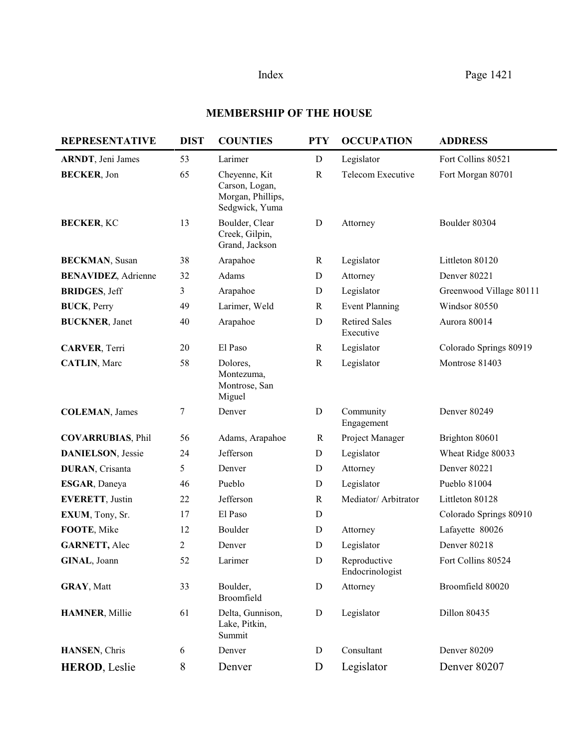# **MEMBERSHIP OF THE HOUSE**

| <b>REPRESENTATIVE</b>       | <b>DIST</b>    | <b>COUNTIES</b>                                                        | <b>PTY</b>   | <b>OCCUPATION</b>                 | <b>ADDRESS</b>          |
|-----------------------------|----------------|------------------------------------------------------------------------|--------------|-----------------------------------|-------------------------|
| <b>ARNDT</b> , Jeni James   | 53             | Larimer                                                                | $\mathbf D$  | Legislator                        | Fort Collins 80521      |
| <b>BECKER, Jon</b>          | 65             | Cheyenne, Kit<br>Carson, Logan,<br>Morgan, Phillips,<br>Sedgwick, Yuma | $\mathbb{R}$ | Telecom Executive                 | Fort Morgan 80701       |
| <b>BECKER, KC</b>           | 13             | Boulder, Clear<br>Creek, Gilpin,<br>Grand, Jackson                     | $\mathbf D$  | Attorney                          | Boulder 80304           |
| <b>BECKMAN, Susan</b>       | 38             | Arapahoe                                                               | $\mathbf R$  | Legislator                        | Littleton 80120         |
| <b>BENAVIDEZ</b> , Adrienne | 32             | Adams                                                                  | $\mathbf D$  | Attorney                          | Denver 80221            |
| <b>BRIDGES, Jeff</b>        | 3              | Arapahoe                                                               | D            | Legislator                        | Greenwood Village 80111 |
| <b>BUCK</b> , Perry         | 49             | Larimer, Weld                                                          | $\mathbf R$  | <b>Event Planning</b>             | Windsor 80550           |
| <b>BUCKNER</b> , Janet      | 40             | Arapahoe                                                               | $\mathbf D$  | <b>Retired Sales</b><br>Executive | Aurora 80014            |
| <b>CARVER, Terri</b>        | 20             | El Paso                                                                | $\mathbf R$  | Legislator                        | Colorado Springs 80919  |
| <b>CATLIN, Marc</b>         | 58             | Dolores,<br>Montezuma,<br>Montrose, San<br>Miguel                      | $\mathbf R$  | Legislator                        | Montrose 81403          |
| <b>COLEMAN, James</b>       | $\tau$         | Denver                                                                 | $\mathbf D$  | Community<br>Engagement           | Denver 80249            |
| <b>COVARRUBIAS, Phil</b>    | 56             | Adams, Arapahoe                                                        | $\mathbf R$  | Project Manager                   | Brighton 80601          |
| <b>DANIELSON</b> , Jessie   | 24             | Jefferson                                                              | $\mathbf D$  | Legislator                        | Wheat Ridge 80033       |
| <b>DURAN</b> , Crisanta     | 5              | Denver                                                                 | $\mathbf D$  | Attorney                          | <b>Denver 80221</b>     |
| ESGAR, Daneya               | 46             | Pueblo                                                                 | D            | Legislator                        | Pueblo 81004            |
| <b>EVERETT, Justin</b>      | 22             | Jefferson                                                              | $\mathbf R$  | Mediator/ Arbitrator              | Littleton 80128         |
| EXUM, Tony, Sr.             | 17             | El Paso                                                                | $\mathbf D$  |                                   | Colorado Springs 80910  |
| FOOTE, Mike                 | 12             | Boulder                                                                | $\mathbf D$  | Attorney                          | Lafayette 80026         |
| <b>GARNETT, Alec</b>        | $\overline{2}$ | Denver                                                                 | D            | Legislator                        | <b>Denver 80218</b>     |
| GINAL, Joann                | 52             | Larimer                                                                | $\mathbf D$  | Reproductive<br>Endocrinologist   | Fort Collins 80524      |
| <b>GRAY, Matt</b>           | 33             | Boulder,<br>Broomfield                                                 | $\mathbf D$  | Attorney                          | Broomfield 80020        |
| <b>HAMNER</b> , Millie      | 61             | Delta, Gunnison,<br>Lake, Pitkin,<br>Summit                            | $\mathbf D$  | Legislator                        | Dillon 80435            |
| HANSEN, Chris               | 6              | Denver                                                                 | $\mathbf D$  | Consultant                        | Denver 80209            |
| <b>HEROD, Leslie</b>        | 8              | Denver                                                                 | D            | Legislator                        | Denver 80207            |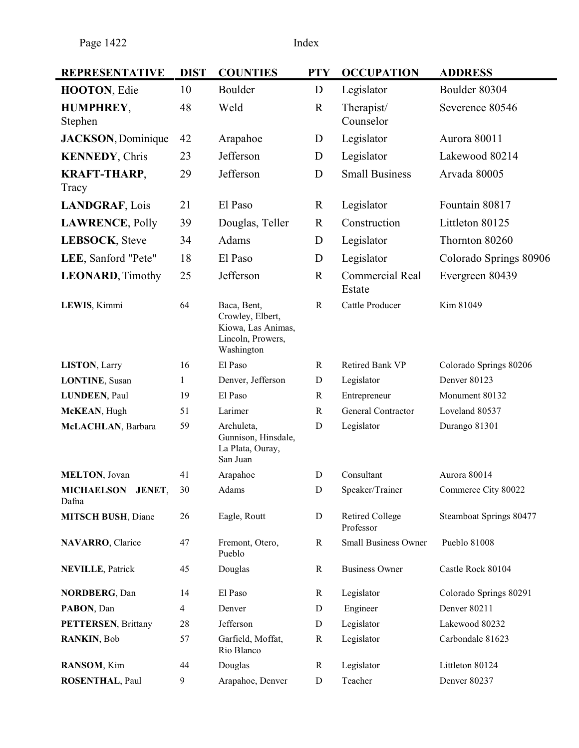| <b>REPRESENTATIVE</b>        | <b>DIST</b> | <b>COUNTIES</b>                                                                          | <b>PTY</b>   | <b>OCCUPATION</b>                   | <b>ADDRESS</b>          |
|------------------------------|-------------|------------------------------------------------------------------------------------------|--------------|-------------------------------------|-------------------------|
| HOOTON, Edie                 | 10          | Boulder                                                                                  | D            | Legislator                          | Boulder 80304           |
| HUMPHREY,<br>Stephen         | 48          | Weld                                                                                     | $\mathbf R$  | Therapist/<br>Counselor             | Severence 80546         |
| <b>JACKSON</b> , Dominique   | 42          | Arapahoe                                                                                 | D            | Legislator                          | Aurora 80011            |
| <b>KENNEDY, Chris</b>        | 23          | Jefferson                                                                                | D            | Legislator                          | Lakewood 80214          |
| <b>KRAFT-THARP,</b><br>Tracy | 29          | Jefferson                                                                                | D            | <b>Small Business</b>               | Arvada 80005            |
| <b>LANDGRAF, Lois</b>        | 21          | El Paso                                                                                  | $\mathbf R$  | Legislator                          | Fountain 80817          |
| <b>LAWRENCE, Polly</b>       | 39          | Douglas, Teller                                                                          | $\mathbf R$  | Construction                        | Littleton 80125         |
| LEBSOCK, Steve               | 34          | Adams                                                                                    | D            | Legislator                          | Thornton 80260          |
| LEE, Sanford "Pete"          | 18          | El Paso                                                                                  | D            | Legislator                          | Colorado Springs 80906  |
| <b>LEONARD, Timothy</b>      | 25          | Jefferson                                                                                | $\mathbb{R}$ | <b>Commercial Real</b><br>Estate    | Evergreen 80439         |
| LEWIS, Kimmi                 | 64          | Baca, Bent,<br>Crowley, Elbert,<br>Kiowa, Las Animas,<br>Lincoln, Prowers,<br>Washington | $\mathbf R$  | Cattle Producer                     | Kim 81049               |
| LISTON, Larry                | 16          | El Paso                                                                                  | $\mathbf R$  | Retired Bank VP                     | Colorado Springs 80206  |
| <b>LONTINE, Susan</b>        | 1           | Denver, Jefferson                                                                        | D            | Legislator                          | Denver 80123            |
| <b>LUNDEEN, Paul</b>         | 19          | El Paso                                                                                  | $\mathbb{R}$ | Entrepreneur                        | Monument 80132          |
| McKEAN, Hugh                 | 51          | Larimer                                                                                  | $\mathbb{R}$ | General Contractor                  | Loveland 80537          |
| McLACHLAN, Barbara           | 59          | Archuleta,<br>Gunnison, Hinsdale,<br>La Plata, Ouray,<br>San Juan                        | D            | Legislator                          | Durango 81301           |
| <b>MELTON, Jovan</b>         | 41          | Arapahoe                                                                                 | ${\bf D}$    | Consultant                          | Aurora 80014            |
| MICHAELSON JENET,<br>Dafna   | 30          | Adams                                                                                    | ${\bf D}$    | Speaker/Trainer                     | Commerce City 80022     |
| <b>MITSCH BUSH, Diane</b>    | 26          | Eagle, Routt                                                                             | ${\bf D}$    | <b>Retired College</b><br>Professor | Steamboat Springs 80477 |
| NAVARRO, Clarice             | 47          | Fremont, Otero,<br>Pueblo                                                                | $\mathbb{R}$ | <b>Small Business Owner</b>         | Pueblo 81008            |
| <b>NEVILLE, Patrick</b>      | 45          | Douglas                                                                                  | $\mathbf R$  | <b>Business Owner</b>               | Castle Rock 80104       |
| <b>NORDBERG, Dan</b>         | 14          | El Paso                                                                                  | $\mathbf R$  | Legislator                          | Colorado Springs 80291  |
| PABON, Dan                   | 4           | Denver                                                                                   | D            | Engineer                            | Denver 80211            |
| <b>PETTERSEN, Brittany</b>   | 28          | Jefferson                                                                                | D            | Legislator                          | Lakewood 80232          |
| RANKIN, Bob                  | 57          | Garfield, Moffat,<br>Rio Blanco                                                          | $\mathbf R$  | Legislator                          | Carbondale 81623        |
| RANSOM, Kim                  | 44          | Douglas                                                                                  | $\mathbf R$  | Legislator                          | Littleton 80124         |
| <b>ROSENTHAL, Paul</b>       | 9           | Arapahoe, Denver                                                                         | D            | Teacher                             | Denver 80237            |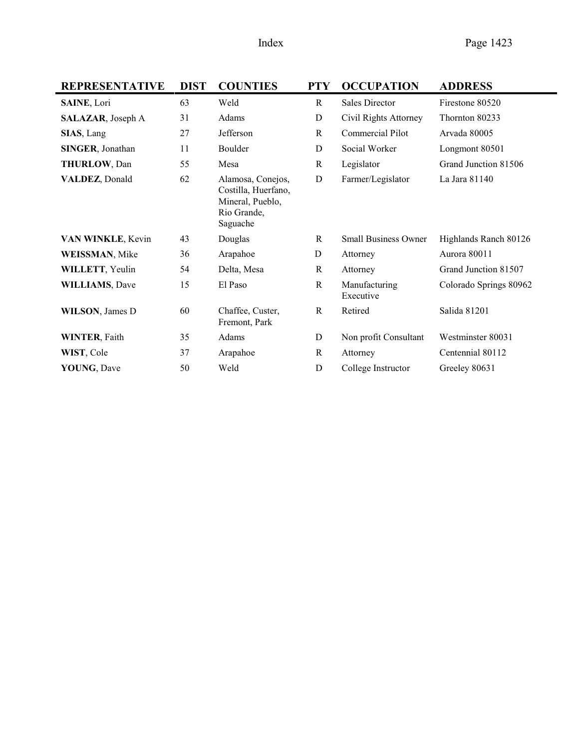| <b>REPRESENTATIVE</b>   | <b>DIST</b> | <b>COUNTIES</b>                                                                         | <b>PTY</b>   | <b>OCCUPATION</b>           | <b>ADDRESS</b>         |
|-------------------------|-------------|-----------------------------------------------------------------------------------------|--------------|-----------------------------|------------------------|
| SAINE, Lori             | 63          | Weld                                                                                    | R            | <b>Sales Director</b>       | Firestone 80520        |
| SALAZAR, Joseph A       | 31          | Adams                                                                                   | D            | Civil Rights Attorney       | Thornton 80233         |
| SIAS, Lang              | 27          | Jefferson                                                                               | R            | Commercial Pilot            | Arvada 80005           |
| <b>SINGER, Jonathan</b> | 11          | Boulder                                                                                 | D            | Social Worker               | Longmont 80501         |
| THURLOW, Dan            | 55          | Mesa                                                                                    | R            | Legislator                  | Grand Junction 81506   |
| VALDEZ, Donald          | 62          | Alamosa, Conejos,<br>Costilla, Huerfano,<br>Mineral, Pueblo,<br>Rio Grande,<br>Saguache | D            | Farmer/Legislator           | La Jara 81140          |
| VAN WINKLE, Kevin       | 43          | Douglas                                                                                 | R            | <b>Small Business Owner</b> | Highlands Ranch 80126  |
| <b>WEISSMAN, Mike</b>   | 36          | Arapahoe                                                                                | D            | Attorney                    | Aurora 80011           |
| <b>WILLETT, Yeulin</b>  | 54          | Delta, Mesa                                                                             | R            | Attorney                    | Grand Junction 81507   |
| <b>WILLIAMS, Dave</b>   | 15          | El Paso                                                                                 | $\mathbf R$  | Manufacturing<br>Executive  | Colorado Springs 80962 |
| <b>WILSON</b> , James D | 60          | Chaffee, Custer,<br>Fremont, Park                                                       | $\mathbb{R}$ | Retired                     | Salida 81201           |
| <b>WINTER, Faith</b>    | 35          | Adams                                                                                   | D            | Non profit Consultant       | Westminster 80031      |
| WIST, Cole              | 37          | Arapahoe                                                                                | R            | Attorney                    | Centennial 80112       |
| <b>YOUNG, Dave</b>      | 50          | Weld                                                                                    | D            | College Instructor          | Greeley 80631          |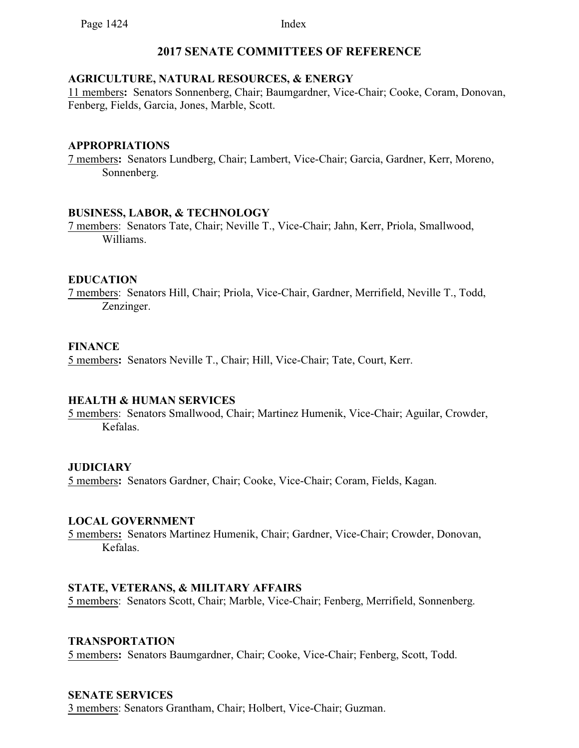# **2017 SENATE COMMITTEES OF REFERENCE**

### **AGRICULTURE, NATURAL RESOURCES, & ENERGY**

11 members**:** Senators Sonnenberg, Chair; Baumgardner, Vice-Chair; Cooke, Coram, Donovan, Fenberg, Fields, Garcia, Jones, Marble, Scott.

#### **APPROPRIATIONS**

7 members**:** Senators Lundberg, Chair; Lambert, Vice-Chair; Garcia, Gardner, Kerr, Moreno, Sonnenberg.

### **BUSINESS, LABOR, & TECHNOLOGY**

7 members: Senators Tate, Chair; Neville T., Vice-Chair; Jahn, Kerr, Priola, Smallwood, Williams.

### **EDUCATION**

7 members: Senators Hill, Chair; Priola, Vice-Chair, Gardner, Merrifield, Neville T., Todd, Zenzinger.

### **FINANCE**

5 members**:** Senators Neville T., Chair; Hill, Vice-Chair; Tate, Court, Kerr.

## **HEALTH & HUMAN SERVICES**

5 members: Senators Smallwood, Chair; Martinez Humenik, Vice-Chair; Aguilar, Crowder, Kefalas.

## **JUDICIARY**

5 members**:** Senators Gardner, Chair; Cooke, Vice-Chair; Coram, Fields, Kagan.

#### **LOCAL GOVERNMENT**

5 members**:** Senators Martinez Humenik, Chair; Gardner, Vice-Chair; Crowder, Donovan, Kefalas.

## **STATE, VETERANS, & MILITARY AFFAIRS**

5 members: Senators Scott, Chair; Marble, Vice-Chair; Fenberg, Merrifield, Sonnenberg.

#### **TRANSPORTATION**

5 members**:** Senators Baumgardner, Chair; Cooke, Vice-Chair; Fenberg, Scott, Todd.

#### **SENATE SERVICES**

3 members: Senators Grantham, Chair; Holbert, Vice-Chair; Guzman.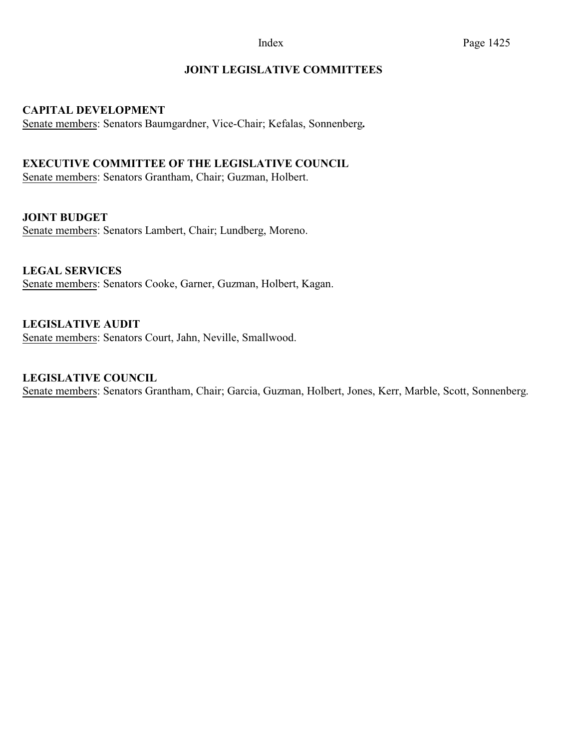# **JOINT LEGISLATIVE COMMITTEES**

### **CAPITAL DEVELOPMENT**

Senate members: Senators Baumgardner, Vice-Chair; Kefalas, Sonnenberg**.**

## **EXECUTIVE COMMITTEE OF THE LEGISLATIVE COUNCIL**

Senate members: Senators Grantham, Chair; Guzman, Holbert.

**JOINT BUDGET**

Senate members: Senators Lambert, Chair; Lundberg, Moreno.

**LEGAL SERVICES** Senate members: Senators Cooke, Garner, Guzman, Holbert, Kagan.

**LEGISLATIVE AUDIT**  Senate members: Senators Court, Jahn, Neville, Smallwood.

## **LEGISLATIVE COUNCIL**

Senate members: Senators Grantham, Chair; Garcia, Guzman, Holbert, Jones, Kerr, Marble, Scott, Sonnenberg.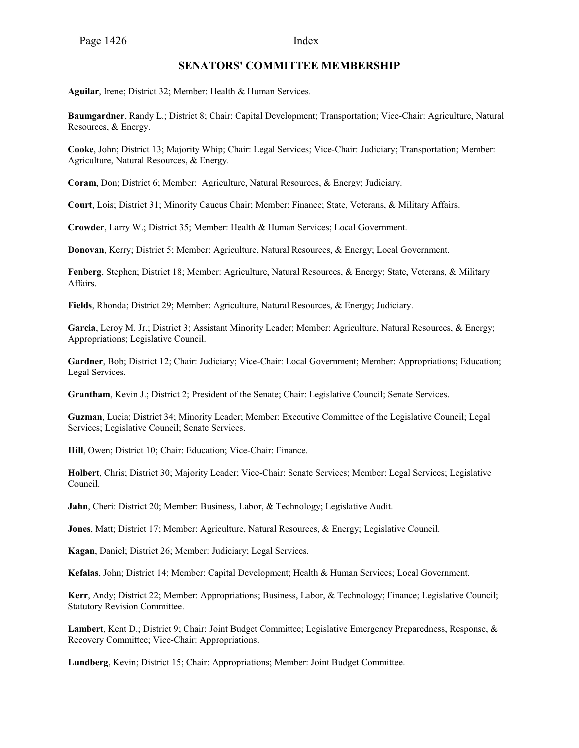#### **SENATORS' COMMITTEE MEMBERSHIP**

**Aguilar**, Irene; District 32; Member: Health & Human Services.

**Baumgardner**, Randy L.; District 8; Chair: Capital Development; Transportation; Vice-Chair: Agriculture, Natural Resources, & Energy.

**Cooke**, John; District 13; Majority Whip; Chair: Legal Services; Vice-Chair: Judiciary; Transportation; Member: Agriculture, Natural Resources, & Energy.

**Coram**, Don; District 6; Member: Agriculture, Natural Resources, & Energy; Judiciary.

**Court**, Lois; District 31; Minority Caucus Chair; Member: Finance; State, Veterans, & Military Affairs.

**Crowder**, Larry W.; District 35; Member: Health & Human Services; Local Government.

**Donovan**, Kerry; District 5; Member: Agriculture, Natural Resources, & Energy; Local Government.

**Fenberg**, Stephen; District 18; Member: Agriculture, Natural Resources, & Energy; State, Veterans, & Military Affairs.

**Fields**, Rhonda; District 29; Member: Agriculture, Natural Resources, & Energy; Judiciary.

**Garcia**, Leroy M. Jr.; District 3; Assistant Minority Leader; Member: Agriculture, Natural Resources, & Energy; Appropriations; Legislative Council.

**Gardner**, Bob; District 12; Chair: Judiciary; Vice-Chair: Local Government; Member: Appropriations; Education; Legal Services.

**Grantham**, Kevin J.; District 2; President of the Senate; Chair: Legislative Council; Senate Services.

**Guzman**, Lucia; District 34; Minority Leader; Member: Executive Committee of the Legislative Council; Legal Services; Legislative Council; Senate Services.

**Hill**, Owen; District 10; Chair: Education; Vice-Chair: Finance.

**Holbert**, Chris; District 30; Majority Leader; Vice-Chair: Senate Services; Member: Legal Services; Legislative Council.

**Jahn**, Cheri: District 20; Member: Business, Labor, & Technology; Legislative Audit.

**Jones**, Matt; District 17; Member: Agriculture, Natural Resources, & Energy; Legislative Council.

**Kagan**, Daniel; District 26; Member: Judiciary; Legal Services.

**Kefalas**, John; District 14; Member: Capital Development; Health & Human Services; Local Government.

**Kerr**, Andy; District 22; Member: Appropriations; Business, Labor, & Technology; Finance; Legislative Council; Statutory Revision Committee.

**Lambert**, Kent D.; District 9; Chair: Joint Budget Committee; Legislative Emergency Preparedness, Response, & Recovery Committee; Vice-Chair: Appropriations.

**Lundberg**, Kevin; District 15; Chair: Appropriations; Member: Joint Budget Committee.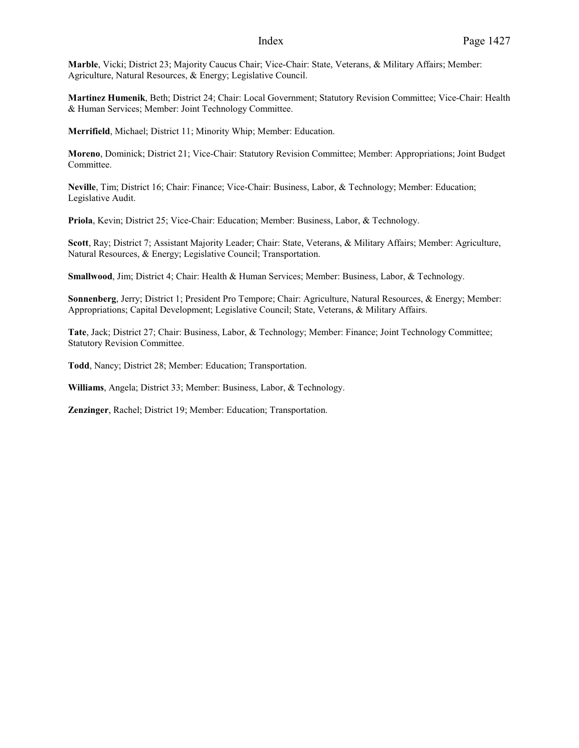**Marble**, Vicki; District 23; Majority Caucus Chair; Vice-Chair: State, Veterans, & Military Affairs; Member: Agriculture, Natural Resources, & Energy; Legislative Council.

**Martinez Humenik**, Beth; District 24; Chair: Local Government; Statutory Revision Committee; Vice-Chair: Health & Human Services; Member: Joint Technology Committee.

**Merrifield**, Michael; District 11; Minority Whip; Member: Education.

**Moreno**, Dominick; District 21; Vice-Chair: Statutory Revision Committee; Member: Appropriations; Joint Budget Committee.

**Neville**, Tim; District 16; Chair: Finance; Vice-Chair: Business, Labor, & Technology; Member: Education; Legislative Audit.

**Priola**, Kevin; District 25; Vice-Chair: Education; Member: Business, Labor, & Technology.

**Scott**, Ray; District 7; Assistant Majority Leader; Chair: State, Veterans, & Military Affairs; Member: Agriculture, Natural Resources, & Energy; Legislative Council; Transportation.

**Smallwood**, Jim; District 4; Chair: Health & Human Services; Member: Business, Labor, & Technology.

**Sonnenberg**, Jerry; District 1; President Pro Tempore; Chair: Agriculture, Natural Resources, & Energy; Member: Appropriations; Capital Development; Legislative Council; State, Veterans, & Military Affairs.

**Tate**, Jack; District 27; Chair: Business, Labor, & Technology; Member: Finance; Joint Technology Committee; Statutory Revision Committee.

**Todd**, Nancy; District 28; Member: Education; Transportation.

**Williams**, Angela; District 33; Member: Business, Labor, & Technology.

**Zenzinger**, Rachel; District 19; Member: Education; Transportation.